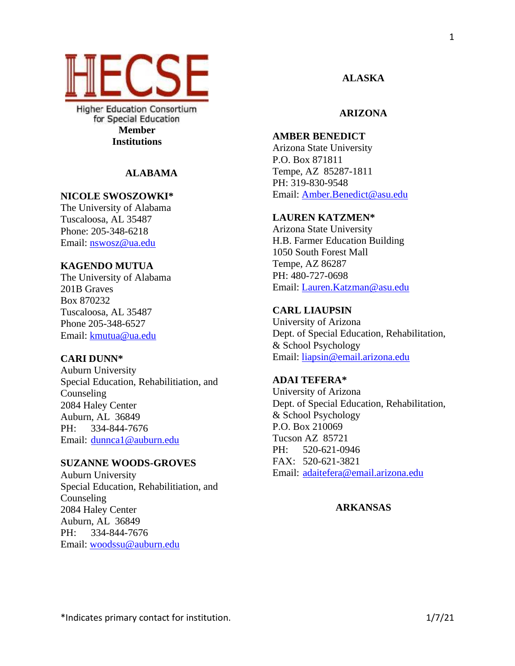

**Higher Education Consortium** for Special Education **Member Institutions**

## **ALABAMA**

## **NICOLE SWOSZOWKI\***

The University of Alabama Tuscaloosa, AL 35487 Phone: 205-348-6218 Email: [nswosz@ua.edu](mailto:nswosz@ua.edu)

## **KAGENDO MUTUA**

The University of Alabama 201B Graves Box 870232 Tuscaloosa, AL 35487 Phone 205-348-6527 Email: kmutua@ua.edu

## **CARI DUNN\***

Auburn University Special Education, Rehabilitiation, and Counseling 2084 Haley Center Auburn, AL 36849 PH: 334-844-7676 Email: dunnca1@auburn.edu

## **SUZANNE WOODS-GROVES**

Auburn University Special Education, Rehabilitiation, and Counseling 2084 Haley Center Auburn, AL 36849 PH: 334-844-7676 Email: [woodssu@auburn.edu](mailto:woodssu@auburn.edu)

## **ALASKA**

## **ARIZONA**

# **AMBER BENEDICT**

Arizona State University P.O. Box 871811 Tempe, AZ 85287-1811 PH: 319-830-9548 Email: [Amber.Benedict@asu.edu](mailto:Amber.Benedict@asu.edu)

## **LAUREN KATZMEN\***

Arizona State University H.B. Farmer Education Building 1050 South Forest Mall Tempe, AZ 86287 PH: 480-727-0698 Email: [Lauren.Katzman@asu.edu](mailto:Lauren.Katzman@asu.edu)

## **CARL LIAUPSIN**

University of Arizona Dept. of Special Education, Rehabilitation, & School Psychology Email: [liapsin@email.arizona.edu](mailto:liapsin@email.arizona.edu)

## **ADAI TEFERA\***

University of Arizona Dept. of Special Education, Rehabilitation, & School Psychology P.O. Box 210069 Tucson AZ 85721 PH: 520-621-0946 FAX: 520-621-3821 Email: [adaitefera@email.arizona.edu](mailto:adaitefera@email.arizona.edu)

**ARKANSAS**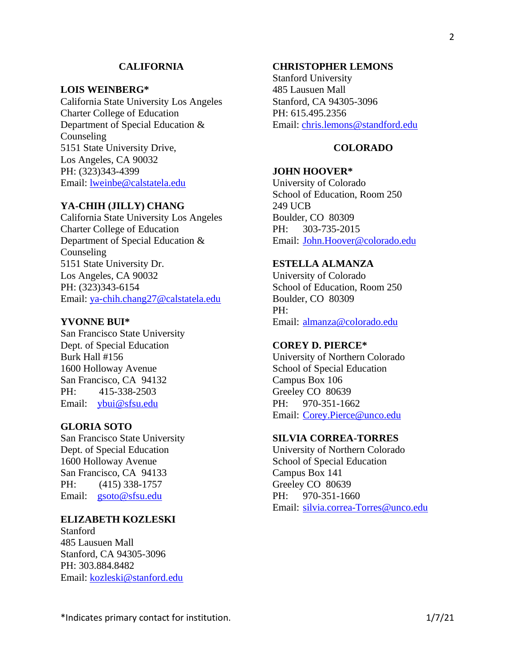### **CALIFORNIA**

### **LOIS WEINBERG\***

California State University Los Angeles Charter College of Education Department of Special Education & Counseling 5151 State University Drive, Los Angeles, CA 90032 PH: (323)343-4399 Email: lweinbe@calstatela.edu

### **YA-CHIH (JILLY) CHANG**

California State University Los Angeles Charter College of Education Department of Special Education & Counseling 5151 State University Dr. Los Angeles, CA 90032 PH: (323)343-6154 Email: [ya-chih.chang27@calstatela.edu](mailto:ya-chih.chang27@calstatela.edu)

### **YVONNE BUI\***

San Francisco State University Dept. of Special Education Burk Hall #156 1600 Holloway Avenue San Francisco, CA 94132 PH: 415-338-2503 Email: ybui@sfsu.edu

## **GLORIA SOTO**

San Francisco State University Dept. of Special Education 1600 Holloway Avenue San Francisco, CA 94133 PH: (415) 338-1757 Email: [gsoto@sfsu.edu](mailto:gsoto@sfsu.edu)

### **ELIZABETH KOZLESKI**

Stanford 485 Lausuen Mall Stanford, CA 94305-3096 PH: 303.884.8482 Email: [kozleski@stanford.edu](mailto:kozleski@stanford.edu)

## **CHRISTOPHER LEMONS**

Stanford University 485 Lausuen Mall Stanford, CA 94305-3096 PH: 615.495.2356 Email: [chris.lemons@standford.edu](mailto:chris.lemons@standford.edu)

## **COLORADO**

### **JOHN HOOVER\***

University of Colorado School of Education, Room 250 249 UCB Boulder, CO 80309 PH: 303-735-2015 Email: [John.Hoover@colorado.edu](mailto:John.Hoover@colorado.edu)

## **ESTELLA ALMANZA**

University of Colorado School of Education, Room 250 Boulder, CO 80309 PH: Email: [almanza@colorado.edu](mailto:almanza@colorado.edu)

### **COREY D. PIERCE\***

University of Northern Colorado School of Special Education Campus Box 106 Greeley CO 80639 PH: 970-351-1662 Email: [Corey.Pierce@unco.edu](mailto:Corey.Pierce@unco.edu)

## **SILVIA CORREA-TORRES**

University of Northern Colorado School of Special Education Campus Box 141 Greeley CO 80639 PH: 970-351-1660 Email: [silvia.correa-Torres@unco.edu](mailto:silvia.correa-Torres@unco.edu)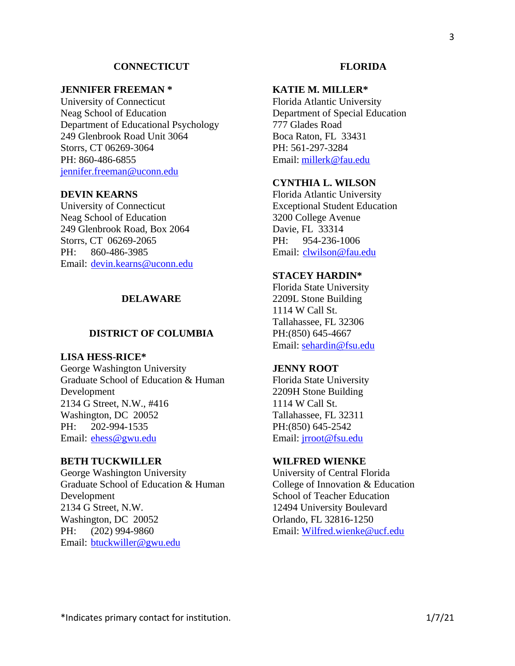### **CONNECTICUT**

### **JENNIFER FREEMAN \***

University of Connecticut Neag School of Education Department of Educational Psychology 249 Glenbrook Road Unit 3064 Storrs, CT 06269-3064 PH: 860-486-6855 [jennifer.freeman@uconn.edu](mailto:jennifer.freeman@uconn.edu)

## **DEVIN KEARNS**

University of Connecticut Neag School of Education 249 Glenbrook Road, Box 2064 Storrs, CT 06269-2065 PH: 860-486-3985 Email: [devin.kearns@uconn.edu](mailto:devin.kearns@uconn.edu)

## **DELAWARE**

### **DISTRICT OF COLUMBIA**

## **LISA HESS-RICE\***

George Washington University Graduate School of Education & Human Development 2134 G Street, N.W., #416 Washington, DC 20052 PH: 202-994-1535 Email: [ehess@gwu.edu](mailto:ehess@gwu.edu)

### **BETH TUCKWILLER**

George Washington University Graduate School of Education & Human Development 2134 G Street, N.W. Washington, DC 20052 PH: (202) 994-9860 Email: [btuckwiller@gwu.edu](mailto:btuckwiller@gwu.edu) 

### **KATIE M. MILLER\***

Florida Atlantic University Department of Special Education 777 Glades Road Boca Raton, FL 33431 PH: 561-297-3284 Email: [millerk@fau.edu](https://urldefense.com/v3/__http:/about:blank/__;!!KwNVnqRv!RlDeKplDYBXFUO8_ojawj4DuwClRel-c8Es3RvRL0QPbIPbb4awgIEsiLT6Rid3XefBvPEcwfwc$)

## **CYNTHIA L. WILSON**

Florida Atlantic University Exceptional Student Education 3200 College Avenue Davie, FL 33314 PH: 954-236-1006 Email: [clwilson@fau.edu](mailto:clwilson@fau.edu)

## **STACEY HARDIN\***

Florida State University 2209L Stone Building 1114 W Call St. Tallahassee, FL 32306 PH:(850) 645-4667 Email: [sehardin@fsu.edu](mailto:sehardin@fsu.edu)

#### **JENNY ROOT**

Florida State University 2209H Stone Building 1114 W Call St. Tallahassee, FL 32311 PH:(850) 645-2542 Email: [jrroot@fsu.edu](mailto:jrroot@fsu.edu)

## **WILFRED WIENKE**

University of Central Florida College of Innovation & Education School of Teacher Education 12494 University Boulevard Orlando, FL 32816-1250 Email: [Wilfred.wienke@ucf.edu](mailto:Wilfred.wienke@ucf.edu)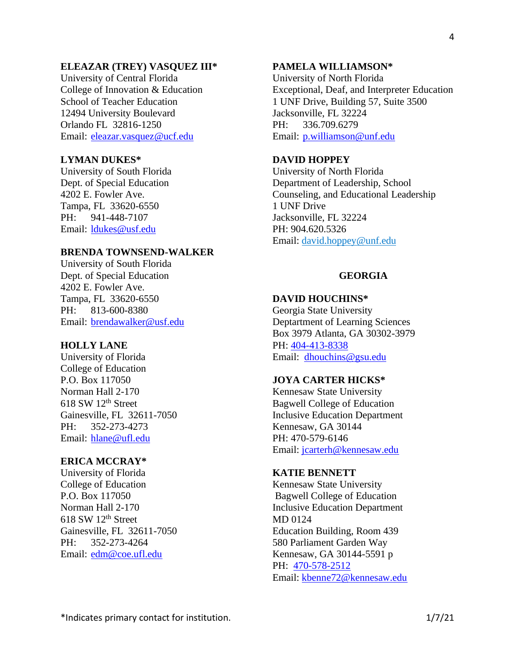## **ELEAZAR (TREY) VASQUEZ III\***

University of Central Florida College of Innovation & Education School of Teacher Education 12494 University Boulevard Orlando FL 32816-1250 Email: eleazar.vasquez@ucf.edu

## **LYMAN DUKES\***

University of South Florida Dept. of Special Education 4202 E. Fowler Ave. Tampa, FL 33620-6550 PH: 941-448-7107 Email: [ldukes@usf.edu](mailto:ldukes@usf.edu)

## **BRENDA TOWNSEND-WALKER**

University of South Florida Dept. of Special Education 4202 E. Fowler Ave. Tampa, FL 33620-6550 PH: 813-600-8380 Email: brendawalker@usf.edu

## **HOLLY LANE**

University of Florida College of Education P.O. Box 117050 Norman Hall 2-170  $618$  SW  $12<sup>th</sup>$  Street Gainesville, FL 32611-7050 PH: 352-273-4273 Email: [hlane@ufl.edu](mailto:hlane@ufl.edu)

### **ERICA MCCRAY\***

University of Florida College of Education P.O. Box 117050 Norman Hall 2-170  $618$  SW  $12<sup>th</sup>$  Street Gainesville, FL 32611-7050 PH: 352-273-4264 Email: [edm@coe.ufl.edu](mailto:edm@coe.ufl.edu)

### **PAMELA WILLIAMSON\***

University of North Florida Exceptional, Deaf, and Interpreter Education 1 UNF Drive, Building 57, Suite 3500 Jacksonville, FL 32224 PH: 336.709.6279 Email: [p.williamson@unf.edu](mailto:p.williamson@unf.edu)

## **DAVID HOPPEY**

University of North Florida Department of Leadership, School Counseling, and Educational Leadership 1 UNF Drive Jacksonville, FL 32224 PH: 904.620.5326 Email: [david.hoppey@unf.edu](mailto:david.hoppey@unf.edu)

### **GEORGIA**

### **DAVID HOUCHINS\***

Georgia State University Deptartment of Learning Sciences Box 3979 Atlanta, GA 30302-3979 PH: 404-413-8338 Email: dhouchins@gsu.edu

## **JOYA CARTER HICKS\***

Kennesaw State University Bagwell College of Education Inclusive Education Department Kennesaw, GA 30144 PH: 470-579-6146 Email: [jcarterh@kennesaw.edu](mailto:jcarterh@kennesaw.edu)

### **KATIE BENNETT**

Kennesaw State University Bagwell College of Education Inclusive Education Department MD 0124 Education Building, Room 439 580 Parliament Garden Way Kennesaw, GA 30144-5591 p PH: 470-578-2512 Email: [kbenne72@kennesaw.edu](mailto:kbenne72@kennesaw.edu)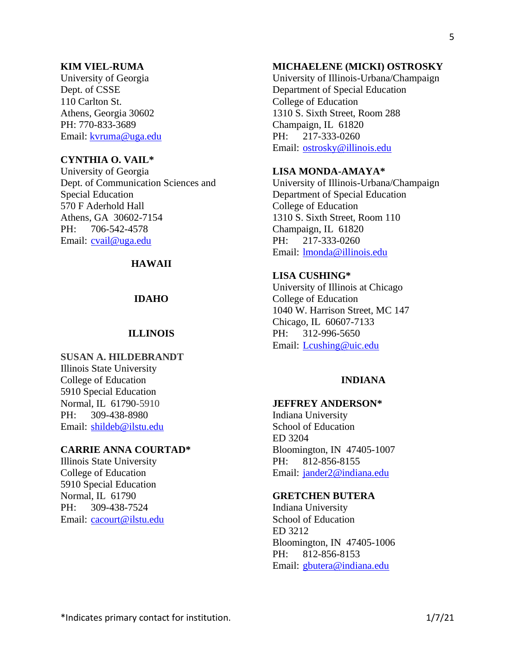## **KIM VIEL-RUMA**

University of Georgia Dept. of CSSE 110 Carlton St. Athens, Georgia 30602 PH: 770-833-3689 Email: [kvruma@uga.edu](mailto:kvruma@uga.edu)

## **CYNTHIA O. VAIL\***

University of Georgia Dept. of Communication Sciences and Special Education 570 F Aderhold Hall Athens, GA 30602-7154 PH: 706-542-4578 Email: cvail@uga.edu

## **HAWAII**

## **IDAHO**

## **ILLINOIS**

**SUSAN A. HILDEBRANDT** Illinois State University College of Education 5910 Special Education Normal, IL 61790-5910 PH: 309-438-8980 Email: [shildeb@ilstu.edu](mailto:shildeb@ilstu.edu)

## **CARRIE ANNA COURTAD\***

Illinois State University College of Education 5910 Special Education Normal, IL 61790 PH: 309-438-7524 Email: cacourt@ilstu.edu

## **MICHAELENE (MICKI) OSTROSKY**

University of Illinois-Urbana/Champaign Department of Special Education College of Education 1310 S. Sixth Street, Room 288 Champaign, IL 61820 PH: 217-333-0260 Email: [ostrosky@illinois.edu](mailto:ostrosky@illinois.edu)

## **LISA MONDA-AMAYA\***

University of Illinois-Urbana/Champaign Department of Special Education College of Education 1310 S. Sixth Street, Room 110 Champaign, IL 61820 PH: 217-333-0260 Email: lmonda@illinois.edu

## **LISA CUSHING\***

University of Illinois at Chicago College of Education 1040 W. Harrison Street, MC 147 Chicago, IL 60607-7133 PH: 312-996-5650 Email: [Lcushing@uic.edu](mailto:Lcushing@uic.edu)

## **INDIANA**

## **JEFFREY ANDERSON\***

Indiana University School of Education ED 3204 Bloomington, IN 47405-1007 PH: 812-856-8155 Email: jander2@indiana.edu

## **GRETCHEN BUTERA**

Indiana University School of Education ED 3212 Bloomington, IN 47405-1006 PH: 812-856-8153 Email: gbutera@indiana.edu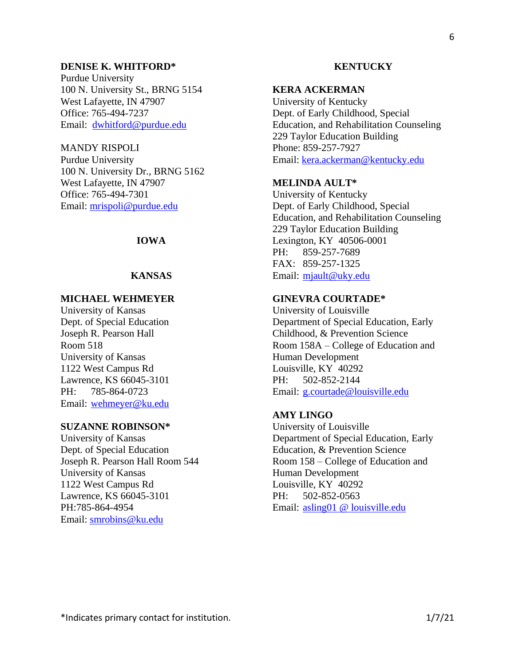### **DENISE K. WHITFORD\***

Purdue University 100 N. University St., BRNG 5154 West Lafayette, IN 47907 Office: 765-494-7237 Email: dwhitford@purdue.edu

## MANDY RISPOLI

Purdue University 100 N. University Dr., BRNG 5162 West Lafayette, IN 47907 Office: 765-494-7301 Email: [mrispoli@purdue.edu](mailto:mrispoli@purdue.edu)

## **IOWA**

### **KANSAS**

## **MICHAEL WEHMEYER**

University of Kansas Dept. of Special Education Joseph R. Pearson Hall Room 518 University of Kansas 1122 West Campus Rd Lawrence, KS 66045-3101 PH: 785-864-0723 Email: [wehmeyer@ku.edu](mailto:wehmeyer@ku.edu)

### **SUZANNE ROBINSON\***

University of Kansas Dept. of Special Education Joseph R. Pearson Hall Room 544 University of Kansas 1122 West Campus Rd Lawrence, KS 66045-3101 PH:785-864-4954 Email: smrobins@ku.edu

### **KENTUCKY**

## **KERA ACKERMAN**

University of Kentucky Dept. of Early Childhood, Special Education, and Rehabilitation Counseling 229 Taylor Education Building Phone: 859-257-7927 Email: [kera.ackerman@kentucky.edu](mailto:kera.ackerman@kentucky.edu)

## **MELINDA AULT\***

University of Kentucky Dept. of Early Childhood, Special Education, and Rehabilitation Counseling 229 Taylor Education Building Lexington, KY 40506-0001 PH: 859-257-7689 FAX: 859-257-1325 Email: [mjault@uky.edu](mailto:mjault@uky.edu)

## **GINEVRA COURTADE\***

University of Louisville Department of Special Education, Early Childhood, & Prevention Science Room 158A – College of Education and Human Development Louisville, KY 40292 PH: 502-852-2144 Email: g.courtade@louisville.edu

## **AMY LINGO**

University of Louisville Department of Special Education, Early Education, & Prevention Science Room 158 – College of Education and Human Development Louisville, KY 40292 PH: 502-852-0563 Email: [asling01 @ louisville.edu](https://louisville.edu/cgi-bin/uofl.mail?asling01)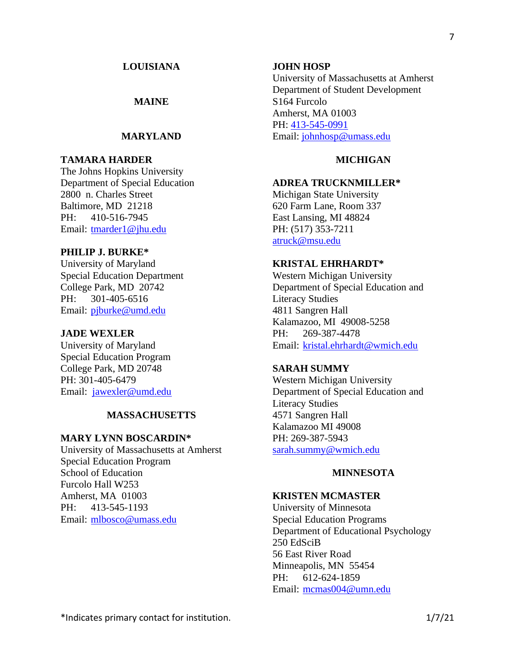## \*Indicates primary contact for institution. 1/7/21

### **LOUISIANA**

## **MAINE**

## **MARYLAND**

## **TAMARA HARDER**

The Johns Hopkins University Department of Special Education 2800 n. Charles Street Baltimore, MD 21218 PH: 410-516-7945 Email: [tmarder1@jhu.edu](mailto:tmarder1@jhu.edu)

## **PHILIP J. BURKE\***

University of Maryland Special Education Department College Park, MD 20742 PH: 301-405-6516 Email: [pjburke@umd.edu](mailto:pjburke@umd.edu)

### **JADE WEXLER**

University of Maryland Special Education Program College Park, MD 20748 PH: 301-405-6479 Email: [jawexler@umd.edu](mailto:jawexler@umd.edu)

### **MASSACHUSETTS**

#### **MARY LYNN BOSCARDIN\***

University of Massachusetts at Amherst Special Education Program School of Education Furcolo Hall W253 Amherst, MA 01003 PH: 413-545-1193 Email: mlbosco@umass.edu

#### **JOHN HOSP**

University of Massachusetts at Amherst Department of Student Development S164 Furcolo Amherst, MA 01003 PH: 413-545-0991 Email: [johnhosp@umass.edu](mailto:johnhosp@umass.edu)

## **MICHIGAN**

## **ADREA TRUCKNMILLER\***

Michigan State University 620 Farm Lane, Room 337 East Lansing, MI 48824 PH: (517) 353-7211 atruck@msu.edu

## **KRISTAL EHRHARDT\***

Western Michigan University Department of Special Education and Literacy Studies 4811 Sangren Hall Kalamazoo, MI 49008-5258 PH: 269-387-4478 Email: [kristal.ehrhardt@wmich.edu](mailto:kristal.ehrhardt@wmich.edu)

### **SARAH SUMMY**

Western Michigan University Department of Special Education and Literacy Studies 4571 Sangren Hall Kalamazoo MI 49008 PH: 269-387-5943 sarah.summy@wmich.edu

## **MINNESOTA**

## **KRISTEN MCMASTER**

University of Minnesota Special Education Programs Department of Educational Psychology 250 EdSciB 56 East River Road Minneapolis, MN 55454 PH: 612-624-1859 Email: [mcmas004@umn.edu](mailto:mcmas004@umn.edu)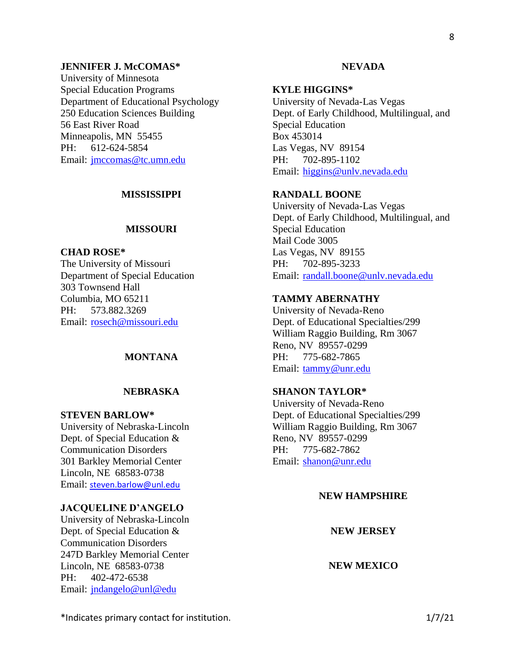## **JENNIFER J. McCOMAS\***

University of Minnesota Special Education Programs Department of Educational Psychology 250 Education Sciences Building 56 East River Road Minneapolis, MN 55455 PH: 612-624-5854 Email: jmccomas@tc.umn.edu

### **MISSISSIPPI**

## **MISSOURI**

**CHAD ROSE\***

The University of Missouri Department of Special Education 303 Townsend Hall Columbia, MO 65211 PH: 573.882.3269 Email: [rosech@missouri.edu](mailto:rosech@missouri.edu)

## **MONTANA**

## **NEBRASKA**

#### **STEVEN BARLOW\***

University of Nebraska-Lincoln Dept. of Special Education & Communication Disorders 301 Barkley Memorial Center Lincoln, NE 68583-0738 Email: [steven.barlow@unl.edu](mailto:steven.barlow@unl.edu)

#### **JACQUELINE D'ANGELO**

University of Nebraska-Lincoln Dept. of Special Education & Communication Disorders 247D Barkley Memorial Center Lincoln, NE 68583-0738 PH: 402-472-6538 Email: jndangelo@unl@edu

### **NEVADA**

### **KYLE HIGGINS\***

University of Nevada-Las Vegas Dept. of Early Childhood, Multilingual, and Special Education Box 453014 Las Vegas, NV 89154 PH: 702-895-1102 Email: higgins@unlv.nevada.edu

## **RANDALL BOONE**

University of Nevada-Las Vegas Dept. of Early Childhood, Multilingual, and Special Education Mail Code 3005 Las Vegas, NV 89155 PH: 702-895-3233 Email: [randall.boone@unlv.nevada.edu](mailto:randall.boone@unlv.nevada.edu)

### **TAMMY ABERNATHY**

University of Nevada-Reno Dept. of Educational Specialties/299 William Raggio Building, Rm 3067 Reno, NV 89557-0299 PH: 775-682-7865 Email: tammy@unr.edu

## **SHANON TAYLOR\***

University of Nevada-Reno Dept. of Educational Specialties/299 William Raggio Building, Rm 3067 Reno, NV 89557-0299 PH: 775-682-7862 Email: shanon@unr.edu

## **NEW HAMPSHIRE**

**NEW JERSEY**

### **NEW MEXICO**

\*Indicates primary contact for institution. 1/7/21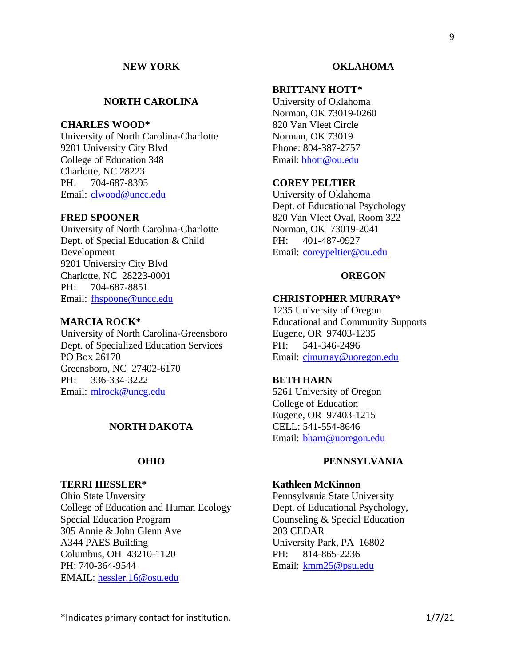## **NEW YORK**

## **NORTH CAROLINA**

## **CHARLES WOOD\***

University of North Carolina-Charlotte 9201 University City Blvd College of Education 348 Charlotte, NC 28223 PH: 704-687-8395 Email: [clwood@uncc.edu](mailto:clwood@uncc.edu)

### **FRED SPOONER**

University of North Carolina-Charlotte Dept. of Special Education & Child Development 9201 University City Blvd Charlotte, NC 28223-0001 PH: 704-687-8851 Email: fhspoone@uncc.edu

#### **MARCIA ROCK\***

University of North Carolina-Greensboro Dept. of Specialized Education Services PO Box 26170 Greensboro, NC 27402-6170 PH: 336-334-3222 Email: [mlrock@uncg.edu](mailto:mlrock@uncg.edu)

### **NORTH DAKOTA**

### **OHIO**

#### **TERRI HESSLER\***

Ohio State Unversity College of Education and Human Ecology Special Education Program 305 Annie & John Glenn Ave A344 PAES Building Columbus, OH 43210-1120 PH: 740-364-9544 EMAIL: hessler.16@osu.edu

#### **OKLAHOMA**

### **BRITTANY HOTT\***

University of Oklahoma Norman, OK 73019-0260 820 Van Vleet Circle Norman, OK 73019 Phone: 804-387-2757 Email: [bhott@ou.edu](mailto:bhott@ou.edu)

## **COREY PELTIER**

University of Oklahoma Dept. of Educational Psychology 820 Van Vleet Oval, Room 322 Norman, OK 73019-2041 PH: 401-487-0927 Email: coreypeltier@ou.edu

### **OREGON**

### **CHRISTOPHER MURRAY\***

1235 University of Oregon Educational and Community Supports Eugene, OR 97403-1235 PH: 541-346-2496 Email: [cjmurray@uoregon.edu](mailto:cjmurray@uoregon.edu)

### **BETH HARN**

5261 University of Oregon College of Education Eugene, OR 97403-1215 CELL: 541-554-8646 Email: bharn@uoregon.edu

### **PENNSYLVANIA**

### **Kathleen McKinnon**

Pennsylvania State University Dept. of Educational Psychology, Counseling & Special Education 203 CEDAR University Park, PA 16802 PH: 814-865-2236 Email: kmm25@psu.edu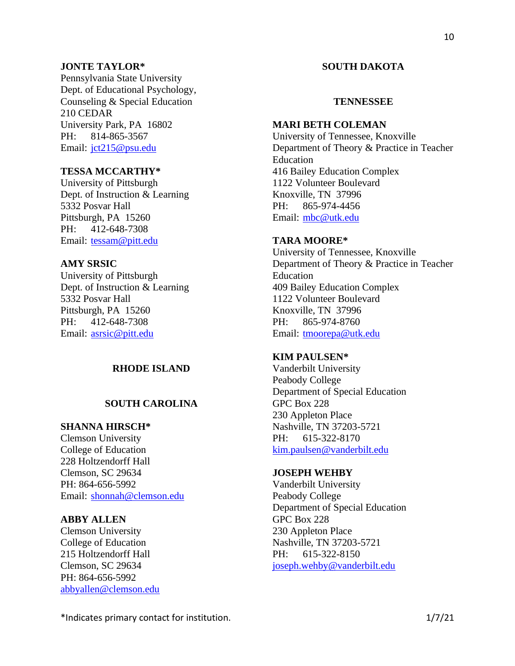## **JONTE TAYLOR\***

Pennsylvania State University Dept. of Educational Psychology, Counseling & Special Education 210 CEDAR University Park, PA 16802 PH: 814-865-3567 Email: jct215@psu.edu

## **TESSA MCCARTHY\***

University of Pittsburgh Dept. of Instruction & Learning 5332 Posvar Hall Pittsburgh, PA 15260 PH: 412-648-7308 Email: tessam@pitt.edu

## **AMY SRSIC**

University of Pittsburgh Dept. of Instruction & Learning 5332 Posvar Hall Pittsburgh, PA 15260 PH: 412-648-7308 Email: [asrsic@pitt.edu](mailto:asrsic@pitt.edu)

## **RHODE ISLAND**

## **SOUTH CAROLINA**

## **SHANNA HIRSCH\***

Clemson University College of Education 228 Holtzendorff Hall Clemson, SC 29634 PH: 864-656-5992 Email: [shonnah@clemson.edu](mailto:shonnah@clemson.edu)

### **ABBY ALLEN**

Clemson University College of Education 215 Holtzendorff Hall Clemson, SC 29634 PH: 864-656-5992 [abbyallen@clemson.edu](mailto:abbyallen@clemson.edu)

## **SOUTH DAKOTA**

## **TENNESSEE**

### **MARI BETH COLEMAN**

University of Tennessee, Knoxville Department of Theory & Practice in Teacher Education 416 Bailey Education Complex 1122 Volunteer Boulevard Knoxville, TN 37996 PH: 865-974-4456 Email: mbc@utk.edu

## **TARA MOORE\***

University of Tennessee, Knoxville Department of Theory & Practice in Teacher Education 409 Bailey Education Complex 1122 Volunteer Boulevard Knoxville, TN 37996 PH: 865-974-8760 Email: [tmoorepa@utk.edu](mailto:tmoorepa@utk.edu)

## **KIM PAULSEN\***

Vanderbilt University Peabody College Department of Special Education GPC Box 228 230 Appleton Place Nashville, TN 37203-5721 PH: 615-322-8170 [kim.paulsen@vanderbilt.edu](mailto:kim.paulsen@vanderbilt.edu) 

### **JOSEPH WEHBY**

Vanderbilt University Peabody College Department of Special Education GPC Box 228 230 Appleton Place Nashville, TN 37203-5721 PH: 615-322-8150 [joseph.wehby@vanderbilt.edu](mailto:joseph.wehby@vanderbilt.edu) 

\*Indicates primary contact for institution. 1/7/21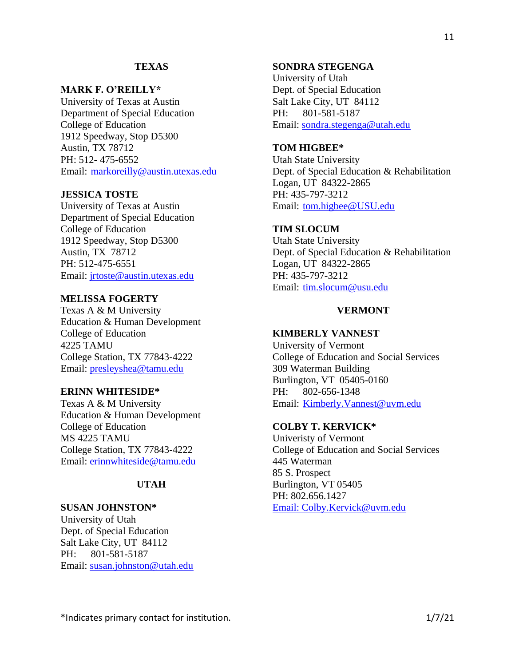## **TEXAS**

### **MARK F. O'REILLY\***

University of Texas at Austin Department of Special Education College of Education 1912 Speedway, Stop D5300 Austin, TX 78712 PH: 512- 475-6552 Email: [markoreilly@austin.utexas.edu](mailto:markoreilly@austin.utexas.edu)

## **JESSICA TOSTE**

University of Texas at Austin Department of Special Education College of Education 1912 Speedway, Stop D5300 Austin, TX 78712 PH: 512-475-6551 Email: [jrtoste@austin.utexas.edu](mailto:jrtoste@austin.utexas.edu)

## **MELISSA FOGERTY**

Texas A & M University Education & Human Development College of Education 4225 TAMU College Station, TX 77843-4222 Email: [presleyshea@tamu.edu](mailto:presleyshea@tamu.edu)

## **ERINN WHITESIDE\***

Texas A & M University Education & Human Development College of Education MS 4225 TAMU College Station, TX 77843-4222 Email: [erinnwhiteside@tamu.edu](mailto:erinnwhiteside@tamu.edu)

## **UTAH**

### **SUSAN JOHNSTON\***

University of Utah Dept. of Special Education Salt Lake City, UT 84112 PH: 801-581-5187 Email: susan.johnston@utah.edu

## **SONDRA STEGENGA**

University of Utah Dept. of Special Education Salt Lake City, UT 84112 PH: 801-581-5187 Email: [sondra.stegenga@utah.edu](mailto:sondra.stegenga@utah.edu)

## **TOM HIGBEE\***

Utah State University Dept. of Special Education & Rehabilitation Logan, UT 84322-2865 PH: 435-797-3212 Email: [tom.higbee@USU.edu](mailto:tom.higbee@USU.edu)

## **TIM SLOCUM**

Utah State University Dept. of Special Education & Rehabilitation Logan, UT 84322-2865 PH: 435-797-3212 Email: [tim.slocum@usu.edu](mailto:%20tim.slocum@usu.edu)

## **VERMONT**

## **KIMBERLY VANNEST**

University of Vermont College of Education and Social Services 309 Waterman Building Burlington, VT 05405-0160 PH: 802-656-1348 Email: [Kimberly.Vannest@uvm.edu](mailto:Kimberly.Vannest@uvm.edu)

### **COLBY T. KERVICK\***

Univeristy of Vermont College of Education and Social Services 445 Waterman 85 S. Prospect Burlington, VT 05405 PH: 802.656.1427 Email: [Colby.Kervick@uvm.edu](mailto:Colby.Kervick@uvm.edu)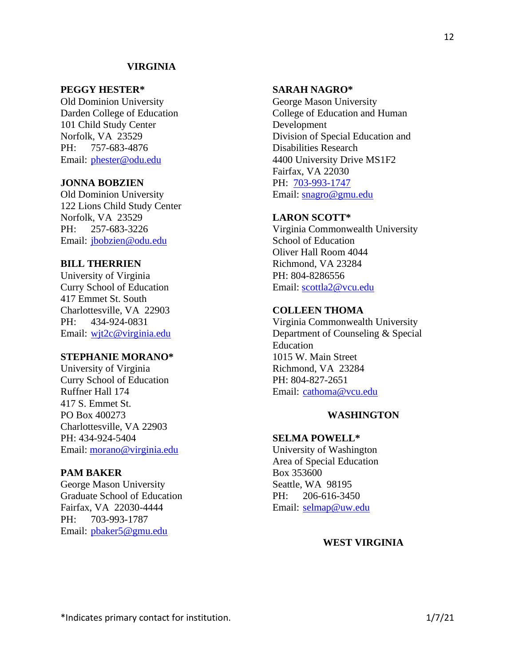### **VIRGINIA**

### **PEGGY HESTER\***

Old Dominion University Darden College of Education 101 Child Study Center Norfolk, VA 23529 PH: 757-683-4876 Email: phester@odu.edu

### **JONNA BOBZIEN**

Old Dominion University 122 Lions Child Study Center Norfolk, VA 23529 PH: 257-683-3226 Email: jbobzien@odu.edu

## **BILL THERRIEN**

University of Virginia Curry School of Education 417 Emmet St. South Charlottesville, VA 22903 PH: 434-924-0831 Email: wjt2c@virginia.edu

## **STEPHANIE MORANO\***

University of Virginia Curry School of Education Ruffner Hall 174 417 S. Emmet St. PO Box 400273 Charlottesville, VA 22903 PH: 434-924-5404 Email: [morano@virginia.edu](mailto:morano@virginia.edu)

## **PAM BAKER**

George Mason University Graduate School of Education Fairfax, VA 22030-4444 PH: 703-993-1787 Email: pbaker5@gmu.edu

# George Mason University

**SARAH NAGRO\***

College of Education and Human Development Division of Special Education and Disabilities Research 4400 University Drive MS1F2 Fairfax, VA 22030 PH: 703-993-1747 Email: [snagro@gmu.edu](mailto:snagro@gmu.edu)

### **LARON SCOTT\***

Virginia Commonwealth University School of Education Oliver Hall Room 4044 Richmond, VA 23284 PH: 804-8286556 Email: [scottla2@vcu.edu](mailto:scottla2@vcu.edu)

## **COLLEEN THOMA**

Virginia Commonwealth University Department of Counseling & Special Education 1015 W. Main Street Richmond, VA 23284 PH: 804-827-2651 Email: [cathoma@vcu.edu](mailto:cathoma@vcu.edu)

## **WASHINGTON**

### **SELMA POWELL\***

University of Washington Area of Special Education Box 353600 Seattle, WA 98195 PH: 206-616-3450 Email: selmap@uw.edu

## **WEST VIRGINIA**